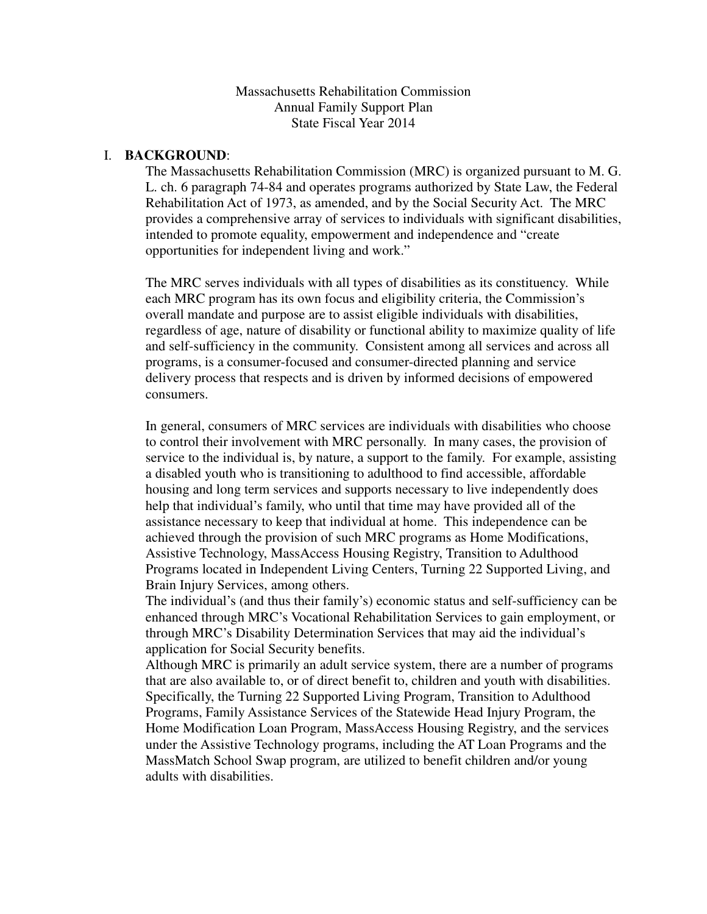Massachusetts Rehabilitation Commission Annual Family Support Plan State Fiscal Year 2014

#### I. **BACKGROUND**:

The Massachusetts Rehabilitation Commission (MRC) is organized pursuant to M. G. L. ch. 6 paragraph 74-84 and operates programs authorized by State Law, the Federal Rehabilitation Act of 1973, as amended, and by the Social Security Act. The MRC provides a comprehensive array of services to individuals with significant disabilities, intended to promote equality, empowerment and independence and "create opportunities for independent living and work."

The MRC serves individuals with all types of disabilities as its constituency. While each MRC program has its own focus and eligibility criteria, the Commission's overall mandate and purpose are to assist eligible individuals with disabilities, regardless of age, nature of disability or functional ability to maximize quality of life and self-sufficiency in the community. Consistent among all services and across all programs, is a consumer-focused and consumer-directed planning and service delivery process that respects and is driven by informed decisions of empowered consumers.

In general, consumers of MRC services are individuals with disabilities who choose to control their involvement with MRC personally. In many cases, the provision of service to the individual is, by nature, a support to the family. For example, assisting a disabled youth who is transitioning to adulthood to find accessible, affordable housing and long term services and supports necessary to live independently does help that individual's family, who until that time may have provided all of the assistance necessary to keep that individual at home. This independence can be achieved through the provision of such MRC programs as Home Modifications, Assistive Technology, MassAccess Housing Registry, Transition to Adulthood Programs located in Independent Living Centers, Turning 22 Supported Living, and Brain Injury Services, among others.

The individual's (and thus their family's) economic status and self-sufficiency can be enhanced through MRC's Vocational Rehabilitation Services to gain employment, or through MRC's Disability Determination Services that may aid the individual's application for Social Security benefits.

Although MRC is primarily an adult service system, there are a number of programs that are also available to, or of direct benefit to, children and youth with disabilities. Specifically, the Turning 22 Supported Living Program, Transition to Adulthood Programs, Family Assistance Services of the Statewide Head Injury Program, the Home Modification Loan Program, MassAccess Housing Registry, and the services under the Assistive Technology programs, including the AT Loan Programs and the MassMatch School Swap program, are utilized to benefit children and/or young adults with disabilities.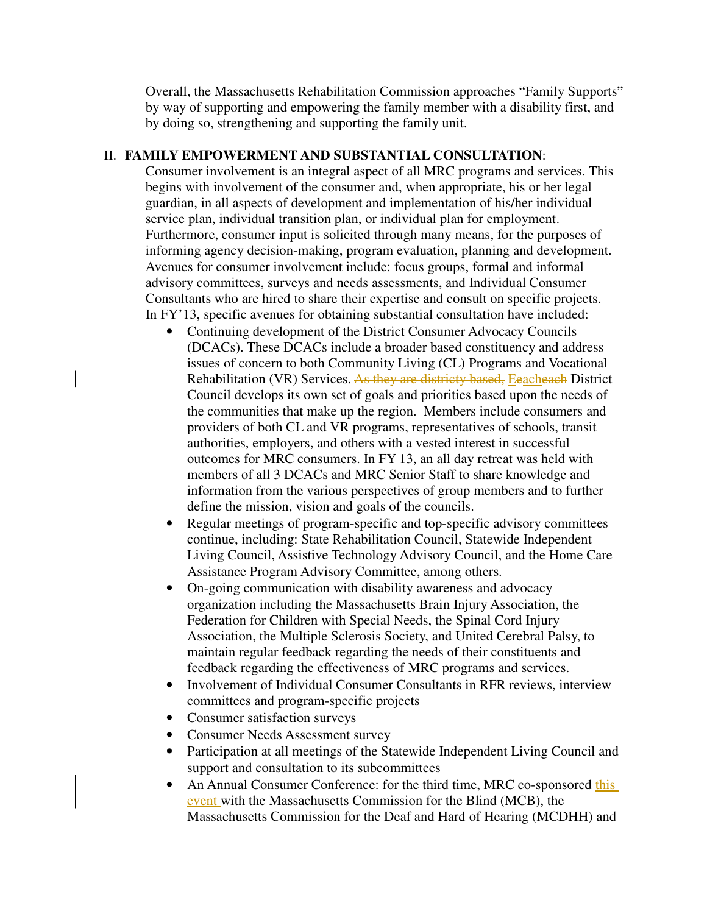Overall, the Massachusetts Rehabilitation Commission approaches "Family Supports" by way of supporting and empowering the family member with a disability first, and by doing so, strengthening and supporting the family unit.

## II. **FAMILY EMPOWERMENT AND SUBSTANTIAL CONSULTATION**:

Consumer involvement is an integral aspect of all MRC programs and services. This begins with involvement of the consumer and, when appropriate, his or her legal guardian, in all aspects of development and implementation of his/her individual service plan, individual transition plan, or individual plan for employment. Furthermore, consumer input is solicited through many means, for the purposes of informing agency decision-making, program evaluation, planning and development. Avenues for consumer involvement include: focus groups, formal and informal advisory committees, surveys and needs assessments, and Individual Consumer Consultants who are hired to share their expertise and consult on specific projects. In FY'13, specific avenues for obtaining substantial consultation have included:

- Continuing development of the District Consumer Advocacy Councils (DCACs). These DCACs include a broader based constituency and address issues of concern to both Community Living (CL) Programs and Vocational Rehabilitation (VR) Services. As they are districty based, Eeacheach District Council develops its own set of goals and priorities based upon the needs of the communities that make up the region. Members include consumers and providers of both CL and VR programs, representatives of schools, transit authorities, employers, and others with a vested interest in successful outcomes for MRC consumers. In FY 13, an all day retreat was held with members of all 3 DCACs and MRC Senior Staff to share knowledge and information from the various perspectives of group members and to further define the mission, vision and goals of the councils.
- Regular meetings of program-specific and top-specific advisory committees continue, including: State Rehabilitation Council, Statewide Independent Living Council, Assistive Technology Advisory Council, and the Home Care Assistance Program Advisory Committee, among others.
- On-going communication with disability awareness and advocacy organization including the Massachusetts Brain Injury Association, the Federation for Children with Special Needs, the Spinal Cord Injury Association, the Multiple Sclerosis Society, and United Cerebral Palsy, to maintain regular feedback regarding the needs of their constituents and feedback regarding the effectiveness of MRC programs and services.
- Involvement of Individual Consumer Consultants in RFR reviews, interview committees and program-specific projects
- Consumer satisfaction surveys
- Consumer Needs Assessment survey
- Participation at all meetings of the Statewide Independent Living Council and support and consultation to its subcommittees
- An Annual Consumer Conference: for the third time, MRC co-sponsored this event with the Massachusetts Commission for the Blind (MCB), the Massachusetts Commission for the Deaf and Hard of Hearing (MCDHH) and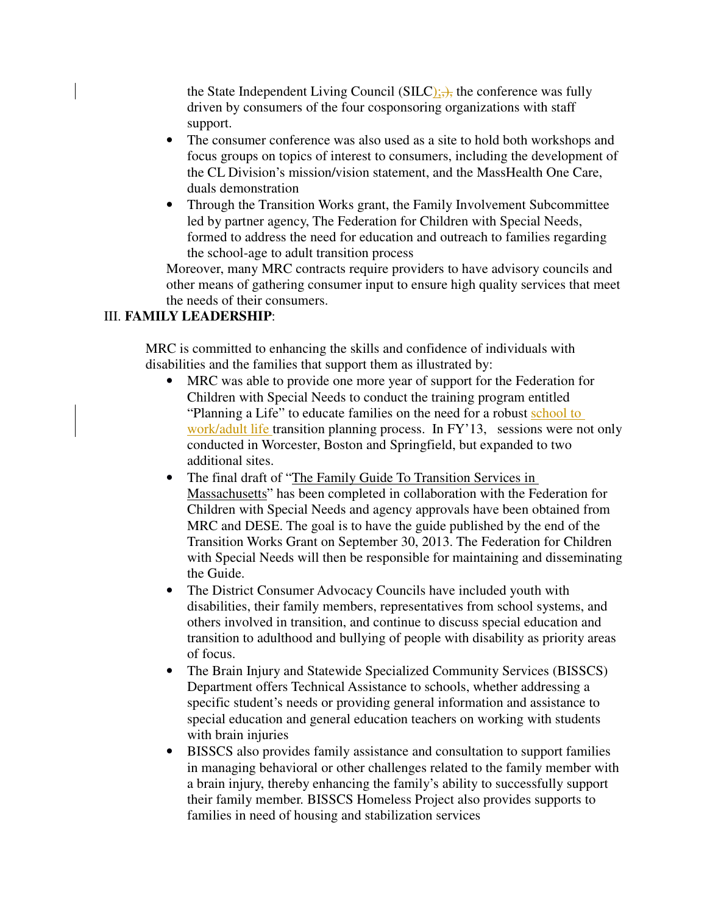the State Independent Living Council (SILC);  $\rightarrow$ , the conference was fully driven by consumers of the four cosponsoring organizations with staff support.

- The consumer conference was also used as a site to hold both workshops and focus groups on topics of interest to consumers, including the development of the CL Division's mission/vision statement, and the MassHealth One Care, duals demonstration
- Through the Transition Works grant, the Family Involvement Subcommittee led by partner agency, The Federation for Children with Special Needs, formed to address the need for education and outreach to families regarding the school-age to adult transition process

Moreover, many MRC contracts require providers to have advisory councils and other means of gathering consumer input to ensure high quality services that meet the needs of their consumers.

## III. **FAMILY LEADERSHIP**:

MRC is committed to enhancing the skills and confidence of individuals with disabilities and the families that support them as illustrated by:

- MRC was able to provide one more year of support for the Federation for Children with Special Needs to conduct the training program entitled "Planning a Life" to educate families on the need for a robust school to work/adult life transition planning process. In FY'13, sessions were not only conducted in Worcester, Boston and Springfield, but expanded to two additional sites.
- The final draft of "The Family Guide To Transition Services in Massachusetts" has been completed in collaboration with the Federation for Children with Special Needs and agency approvals have been obtained from MRC and DESE. The goal is to have the guide published by the end of the Transition Works Grant on September 30, 2013. The Federation for Children with Special Needs will then be responsible for maintaining and disseminating the Guide.
- The District Consumer Advocacy Councils have included youth with disabilities, their family members, representatives from school systems, and others involved in transition, and continue to discuss special education and transition to adulthood and bullying of people with disability as priority areas of focus.
- The Brain Injury and Statewide Specialized Community Services (BISSCS) Department offers Technical Assistance to schools, whether addressing a specific student's needs or providing general information and assistance to special education and general education teachers on working with students with brain injuries
- BISSCS also provides family assistance and consultation to support families in managing behavioral or other challenges related to the family member with a brain injury, thereby enhancing the family's ability to successfully support their family member. BISSCS Homeless Project also provides supports to families in need of housing and stabilization services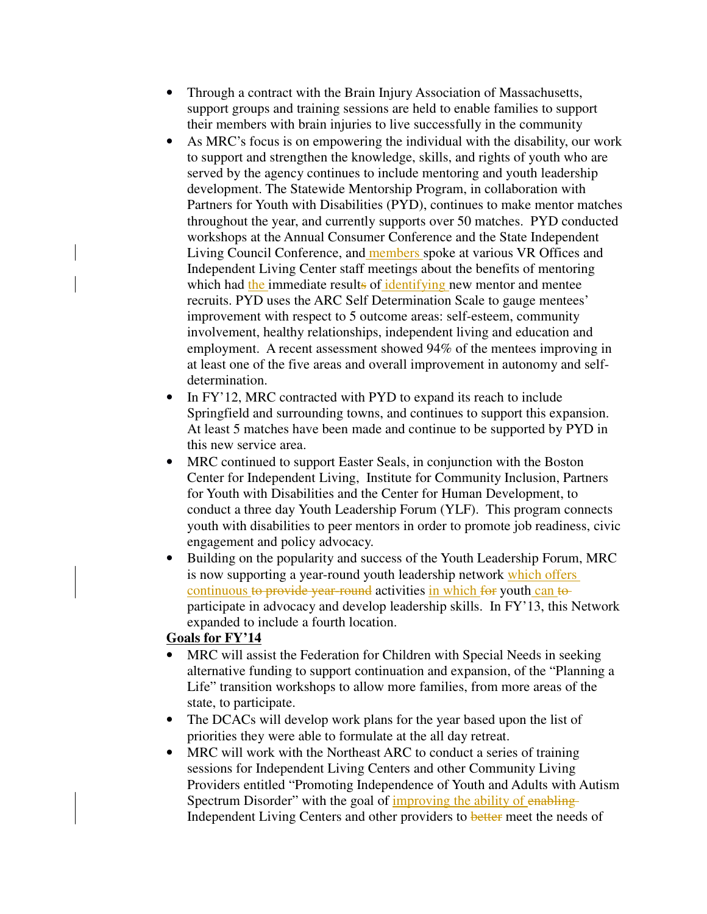- Through a contract with the Brain Injury Association of Massachusetts, support groups and training sessions are held to enable families to support their members with brain injuries to live successfully in the community
- As MRC's focus is on empowering the individual with the disability, our work to support and strengthen the knowledge, skills, and rights of youth who are served by the agency continues to include mentoring and youth leadership development. The Statewide Mentorship Program, in collaboration with Partners for Youth with Disabilities (PYD), continues to make mentor matches throughout the year, and currently supports over 50 matches. PYD conducted workshops at the Annual Consumer Conference and the State Independent Living Council Conference, and members spoke at various VR Offices and Independent Living Center staff meetings about the benefits of mentoring which had the immediate results of identifying new mentor and mentee recruits. PYD uses the ARC Self Determination Scale to gauge mentees' improvement with respect to 5 outcome areas: self-esteem, community involvement, healthy relationships, independent living and education and employment. A recent assessment showed 94% of the mentees improving in at least one of the five areas and overall improvement in autonomy and selfdetermination.
- In FY'12, MRC contracted with PYD to expand its reach to include Springfield and surrounding towns, and continues to support this expansion. At least 5 matches have been made and continue to be supported by PYD in this new service area.
- MRC continued to support Easter Seals, in conjunction with the Boston Center for Independent Living, Institute for Community Inclusion, Partners for Youth with Disabilities and the Center for Human Development, to conduct a three day Youth Leadership Forum (YLF). This program connects youth with disabilities to peer mentors in order to promote job readiness, civic engagement and policy advocacy.
- Building on the popularity and success of the Youth Leadership Forum, MRC is now supporting a year-round youth leadership network which offers continuous to provide year-round activities in which for youth can to participate in advocacy and develop leadership skills. In FY'13, this Network expanded to include a fourth location.

### **Goals for FY'14**

- MRC will assist the Federation for Children with Special Needs in seeking alternative funding to support continuation and expansion, of the "Planning a Life" transition workshops to allow more families, from more areas of the state, to participate.
- The DCACs will develop work plans for the year based upon the list of priorities they were able to formulate at the all day retreat.
- MRC will work with the Northeast ARC to conduct a series of training sessions for Independent Living Centers and other Community Living Providers entitled "Promoting Independence of Youth and Adults with Autism Spectrum Disorder" with the goal of improving the ability of enabling-Independent Living Centers and other providers to better meet the needs of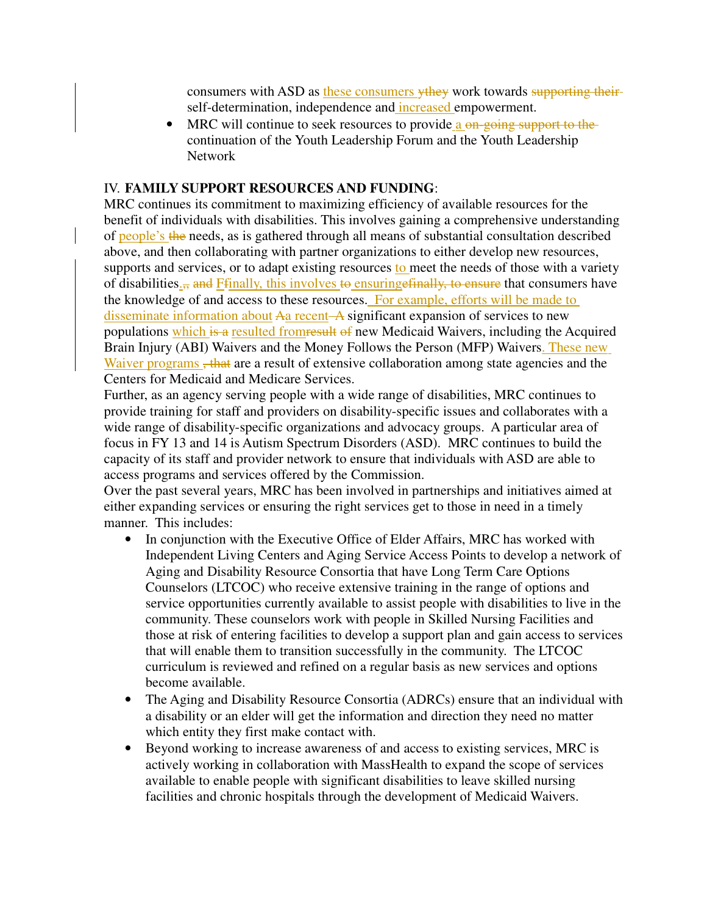consumers with ASD as these consumers ythey work towards supporting theirself-determination, independence and increased empowerment.

• MRC will continue to seek resources to provide a <del>on-going support to the</del> continuation of the Youth Leadership Forum and the Youth Leadership Network

#### IV. **FAMILY SUPPORT RESOURCES AND FUNDING**:

MRC continues its commitment to maximizing efficiency of available resources for the benefit of individuals with disabilities. This involves gaining a comprehensive understanding of people's the needs, as is gathered through all means of substantial consultation described above, and then collaborating with partner organizations to either develop new resources, supports and services, or to adapt existing resources to meet the needs of those with a variety of disabilities<sub>.</sub>, and Ffinally, this involves to ensuring effinally, to ensure that consumers have the knowledge of and access to these resources. For example, efforts will be made to disseminate information about Aa recent A significant expansion of services to new populations which is a resulted from result of new Medicaid Waivers, including the Acquired Brain Injury (ABI) Waivers and the Money Follows the Person (MFP) Waivers. These new Waiver programs, that are a result of extensive collaboration among state agencies and the Centers for Medicaid and Medicare Services.

Further, as an agency serving people with a wide range of disabilities, MRC continues to provide training for staff and providers on disability-specific issues and collaborates with a wide range of disability-specific organizations and advocacy groups. A particular area of focus in FY 13 and 14 is Autism Spectrum Disorders (ASD). MRC continues to build the capacity of its staff and provider network to ensure that individuals with ASD are able to access programs and services offered by the Commission.

Over the past several years, MRC has been involved in partnerships and initiatives aimed at either expanding services or ensuring the right services get to those in need in a timely manner. This includes:

- In conjunction with the Executive Office of Elder Affairs, MRC has worked with Independent Living Centers and Aging Service Access Points to develop a network of Aging and Disability Resource Consortia that have Long Term Care Options Counselors (LTCOC) who receive extensive training in the range of options and service opportunities currently available to assist people with disabilities to live in the community. These counselors work with people in Skilled Nursing Facilities and those at risk of entering facilities to develop a support plan and gain access to services that will enable them to transition successfully in the community. The LTCOC curriculum is reviewed and refined on a regular basis as new services and options become available.
- The Aging and Disability Resource Consortia (ADRCs) ensure that an individual with a disability or an elder will get the information and direction they need no matter which entity they first make contact with.
- Beyond working to increase awareness of and access to existing services, MRC is actively working in collaboration with MassHealth to expand the scope of services available to enable people with significant disabilities to leave skilled nursing facilities and chronic hospitals through the development of Medicaid Waivers.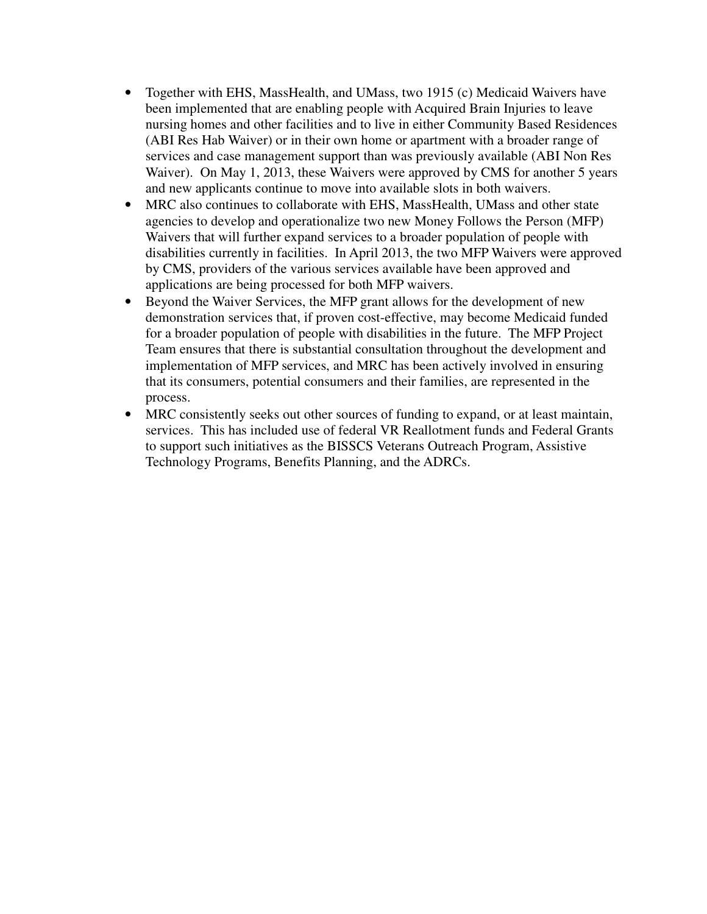- Together with EHS, MassHealth, and UMass, two 1915 (c) Medicaid Waivers have been implemented that are enabling people with Acquired Brain Injuries to leave nursing homes and other facilities and to live in either Community Based Residences (ABI Res Hab Waiver) or in their own home or apartment with a broader range of services and case management support than was previously available (ABI Non Res Waiver). On May 1, 2013, these Waivers were approved by CMS for another 5 years and new applicants continue to move into available slots in both waivers.
- MRC also continues to collaborate with EHS, MassHealth, UMass and other state agencies to develop and operationalize two new Money Follows the Person (MFP) Waivers that will further expand services to a broader population of people with disabilities currently in facilities. In April 2013, the two MFP Waivers were approved by CMS, providers of the various services available have been approved and applications are being processed for both MFP waivers.
- Beyond the Waiver Services, the MFP grant allows for the development of new demonstration services that, if proven cost-effective, may become Medicaid funded for a broader population of people with disabilities in the future. The MFP Project Team ensures that there is substantial consultation throughout the development and implementation of MFP services, and MRC has been actively involved in ensuring that its consumers, potential consumers and their families, are represented in the process.
- MRC consistently seeks out other sources of funding to expand, or at least maintain, services. This has included use of federal VR Reallotment funds and Federal Grants to support such initiatives as the BISSCS Veterans Outreach Program, Assistive Technology Programs, Benefits Planning, and the ADRCs.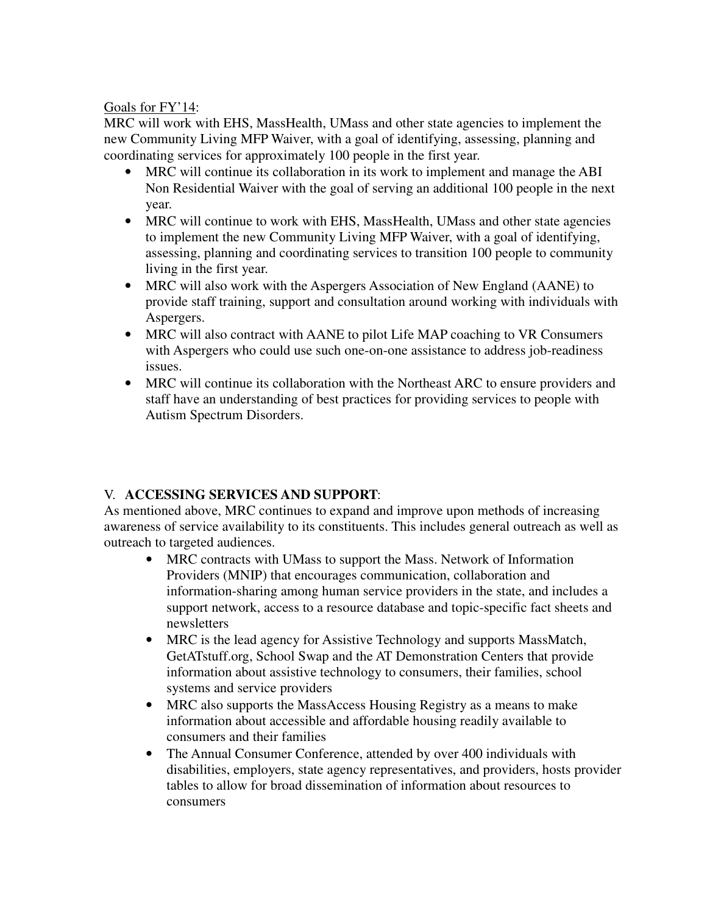## Goals for FY'14:

MRC will work with EHS, MassHealth, UMass and other state agencies to implement the new Community Living MFP Waiver, with a goal of identifying, assessing, planning and coordinating services for approximately 100 people in the first year.

- MRC will continue its collaboration in its work to implement and manage the ABI Non Residential Waiver with the goal of serving an additional 100 people in the next year.
- MRC will continue to work with EHS, MassHealth, UMass and other state agencies to implement the new Community Living MFP Waiver, with a goal of identifying, assessing, planning and coordinating services to transition 100 people to community living in the first year.
- MRC will also work with the Aspergers Association of New England (AANE) to provide staff training, support and consultation around working with individuals with Aspergers.
- MRC will also contract with AANE to pilot Life MAP coaching to VR Consumers with Aspergers who could use such one-on-one assistance to address job-readiness issues.
- MRC will continue its collaboration with the Northeast ARC to ensure providers and staff have an understanding of best practices for providing services to people with Autism Spectrum Disorders.

# V. **ACCESSING SERVICES AND SUPPORT**:

As mentioned above, MRC continues to expand and improve upon methods of increasing awareness of service availability to its constituents. This includes general outreach as well as outreach to targeted audiences.

- MRC contracts with UMass to support the Mass. Network of Information Providers (MNIP) that encourages communication, collaboration and information-sharing among human service providers in the state, and includes a support network, access to a resource database and topic-specific fact sheets and newsletters
- MRC is the lead agency for Assistive Technology and supports MassMatch, GetATstuff.org, School Swap and the AT Demonstration Centers that provide information about assistive technology to consumers, their families, school systems and service providers
- MRC also supports the MassAccess Housing Registry as a means to make information about accessible and affordable housing readily available to consumers and their families
- The Annual Consumer Conference, attended by over 400 individuals with disabilities, employers, state agency representatives, and providers, hosts provider tables to allow for broad dissemination of information about resources to consumers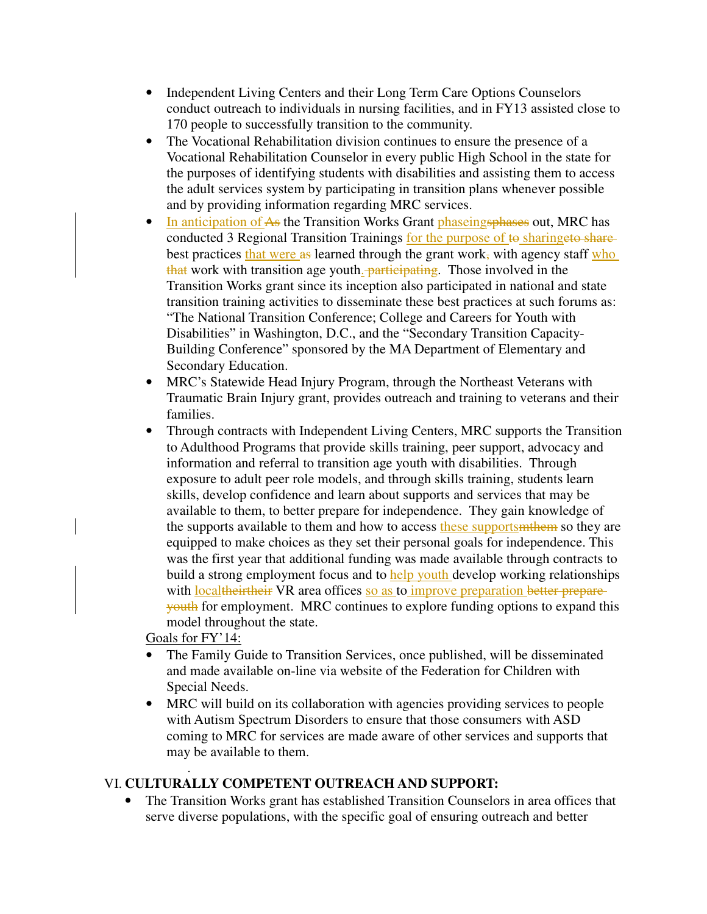- Independent Living Centers and their Long Term Care Options Counselors conduct outreach to individuals in nursing facilities, and in FY13 assisted close to 170 people to successfully transition to the community.
- The Vocational Rehabilitation division continues to ensure the presence of a Vocational Rehabilitation Counselor in every public High School in the state for the purposes of identifying students with disabilities and assisting them to access the adult services system by participating in transition plans whenever possible and by providing information regarding MRC services.
- In anticipation of As the Transition Works Grant phaseings phases out, MRC has conducted 3 Regional Transition Trainings for the purpose of to sharingeto sharebest practices that were as learned through the grant work, with agency staff who that work with transition age youth. *participating*. Those involved in the Transition Works grant since its inception also participated in national and state transition training activities to disseminate these best practices at such forums as: "The National Transition Conference; College and Careers for Youth with Disabilities" in Washington, D.C., and the "Secondary Transition Capacity-Building Conference" sponsored by the MA Department of Elementary and Secondary Education.
- MRC's Statewide Head Injury Program, through the Northeast Veterans with Traumatic Brain Injury grant, provides outreach and training to veterans and their families.
- Through contracts with Independent Living Centers, MRC supports the Transition to Adulthood Programs that provide skills training, peer support, advocacy and information and referral to transition age youth with disabilities. Through exposure to adult peer role models, and through skills training, students learn skills, develop confidence and learn about supports and services that may be available to them, to better prepare for independence. They gain knowledge of the supports available to them and how to access these supports methom so they are equipped to make choices as they set their personal goals for independence. This was the first year that additional funding was made available through contracts to build a strong employment focus and to help youth develop working relationships with localtheirtheir VR area offices so as to improve preparation better prepareyouth for employment. MRC continues to explore funding options to expand this model throughout the state.

Goals for FY'14:

- The Family Guide to Transition Services, once published, will be disseminated and made available on-line via website of the Federation for Children with Special Needs.
- MRC will build on its collaboration with agencies providing services to people with Autism Spectrum Disorders to ensure that those consumers with ASD coming to MRC for services are made aware of other services and supports that may be available to them.

### . VI. **CULTURALLY COMPETENT OUTREACH AND SUPPORT:**

• The Transition Works grant has established Transition Counselors in area offices that serve diverse populations, with the specific goal of ensuring outreach and better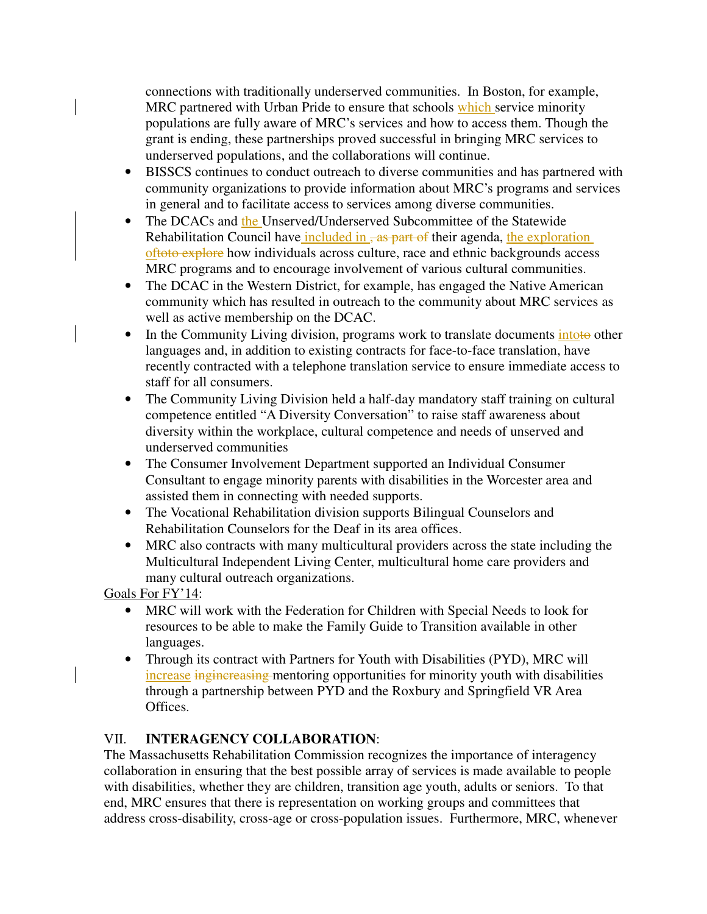connections with traditionally underserved communities. In Boston, for example, MRC partnered with Urban Pride to ensure that schools which service minority populations are fully aware of MRC's services and how to access them. Though the grant is ending, these partnerships proved successful in bringing MRC services to underserved populations, and the collaborations will continue.

- BISSCS continues to conduct outreach to diverse communities and has partnered with community organizations to provide information about MRC's programs and services in general and to facilitate access to services among diverse communities.
- The DCACs and the Unserved/Underserved Subcommittee of the Statewide Rehabilitation Council have included in  $\frac{1}{2}$  as part of their agenda, the exploration oftoto explore how individuals across culture, race and ethnic backgrounds access MRC programs and to encourage involvement of various cultural communities.
- The DCAC in the Western District, for example, has engaged the Native American community which has resulted in outreach to the community about MRC services as well as active membership on the DCAC.
- In the Community Living division, programs work to translate documents intoto other languages and, in addition to existing contracts for face-to-face translation, have recently contracted with a telephone translation service to ensure immediate access to staff for all consumers.
- The Community Living Division held a half-day mandatory staff training on cultural competence entitled "A Diversity Conversation" to raise staff awareness about diversity within the workplace, cultural competence and needs of unserved and underserved communities
- The Consumer Involvement Department supported an Individual Consumer Consultant to engage minority parents with disabilities in the Worcester area and assisted them in connecting with needed supports.
- The Vocational Rehabilitation division supports Bilingual Counselors and Rehabilitation Counselors for the Deaf in its area offices.
- MRC also contracts with many multicultural providers across the state including the Multicultural Independent Living Center, multicultural home care providers and many cultural outreach organizations.

Goals For FY'14:

- MRC will work with the Federation for Children with Special Needs to look for resources to be able to make the Family Guide to Transition available in other languages.
- Through its contract with Partners for Youth with Disabilities (PYD), MRC will increase inginereasing mentoring opportunities for minority youth with disabilities through a partnership between PYD and the Roxbury and Springfield VR Area Offices.

# VII. **INTERAGENCY COLLABORATION**:

The Massachusetts Rehabilitation Commission recognizes the importance of interagency collaboration in ensuring that the best possible array of services is made available to people with disabilities, whether they are children, transition age youth, adults or seniors. To that end, MRC ensures that there is representation on working groups and committees that address cross-disability, cross-age or cross-population issues. Furthermore, MRC, whenever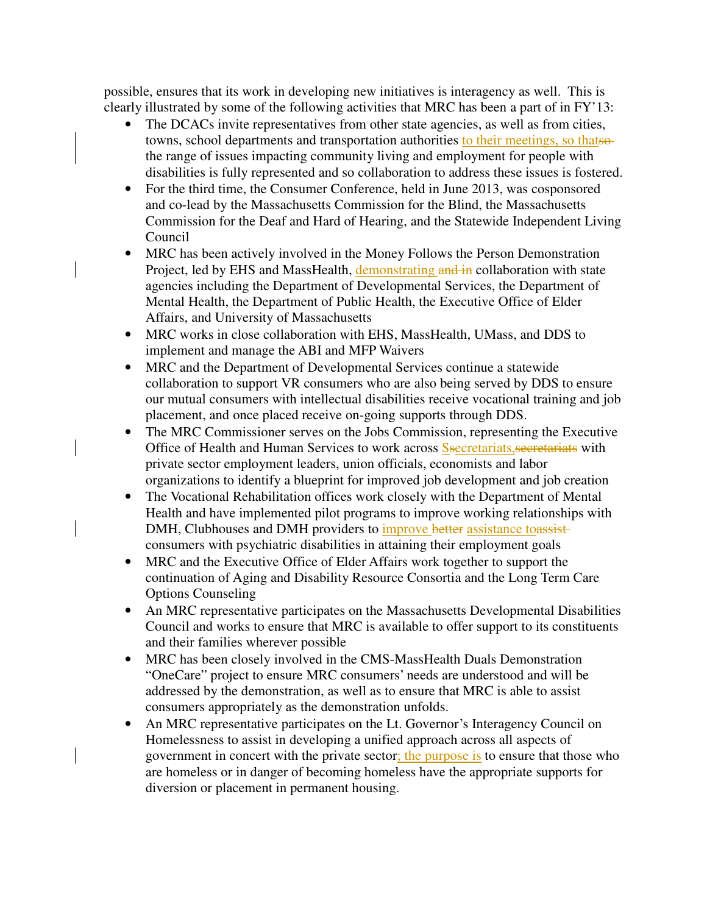possible, ensures that its work in developing new initiatives is interagency as well. This is clearly illustrated by some of the following activities that MRC has been a part of in FY'13:

- The DCACs invite representatives from other state agencies, as well as from cities, towns, school departments and transportation authorities to their meetings, so thatsothe range of issues impacting community living and employment for people with disabilities is fully represented and so collaboration to address these issues is fostered.
- For the third time, the Consumer Conference, held in June 2013, was cosponsored and co-lead by the Massachusetts Commission for the Blind, the Massachusetts Commission for the Deaf and Hard of Hearing, and the Statewide Independent Living Council
- MRC has been actively involved in the Money Follows the Person Demonstration Project, led by EHS and MassHealth, demonstrating and in collaboration with state agencies including the Department of Developmental Services, the Department of Mental Health, the Department of Public Health, the Executive Office of Elder Affairs, and University of Massachusetts
- MRC works in close collaboration with EHS, MassHealth, UMass, and DDS to implement and manage the ABI and MFP Waivers
- MRC and the Department of Developmental Services continue a statewide collaboration to support VR consumers who are also being served by DDS to ensure our mutual consumers with intellectual disabilities receive vocational training and job placement, and once placed receive on-going supports through DDS.
- The MRC Commissioner serves on the Jobs Commission, representing the Executive Office of Health and Human Services to work across **S**secretariats, secretariats with private sector employment leaders, union officials, economists and labor organizations to identify a blueprint for improved job development and job creation
- The Vocational Rehabilitation offices work closely with the Department of Mental Health and have implemented pilot programs to improve working relationships with DMH, Clubhouses and DMH providers to improve better assistance toassistconsumers with psychiatric disabilities in attaining their employment goals
- MRC and the Executive Office of Elder Affairs work together to support the continuation of Aging and Disability Resource Consortia and the Long Term Care Options Counseling
- An MRC representative participates on the Massachusetts Developmental Disabilities Council and works to ensure that MRC is available to offer support to its constituents and their families wherever possible
- MRC has been closely involved in the CMS-MassHealth Duals Demonstration "OneCare" project to ensure MRC consumers' needs are understood and will be addressed by the demonstration, as well as to ensure that MRC is able to assist consumers appropriately as the demonstration unfolds.
- An MRC representative participates on the Lt. Governor's Interagency Council on Homelessness to assist in developing a unified approach across all aspects of government in concert with the private sector; the purpose is to ensure that those who are homeless or in danger of becoming homeless have the appropriate supports for diversion or placement in permanent housing.